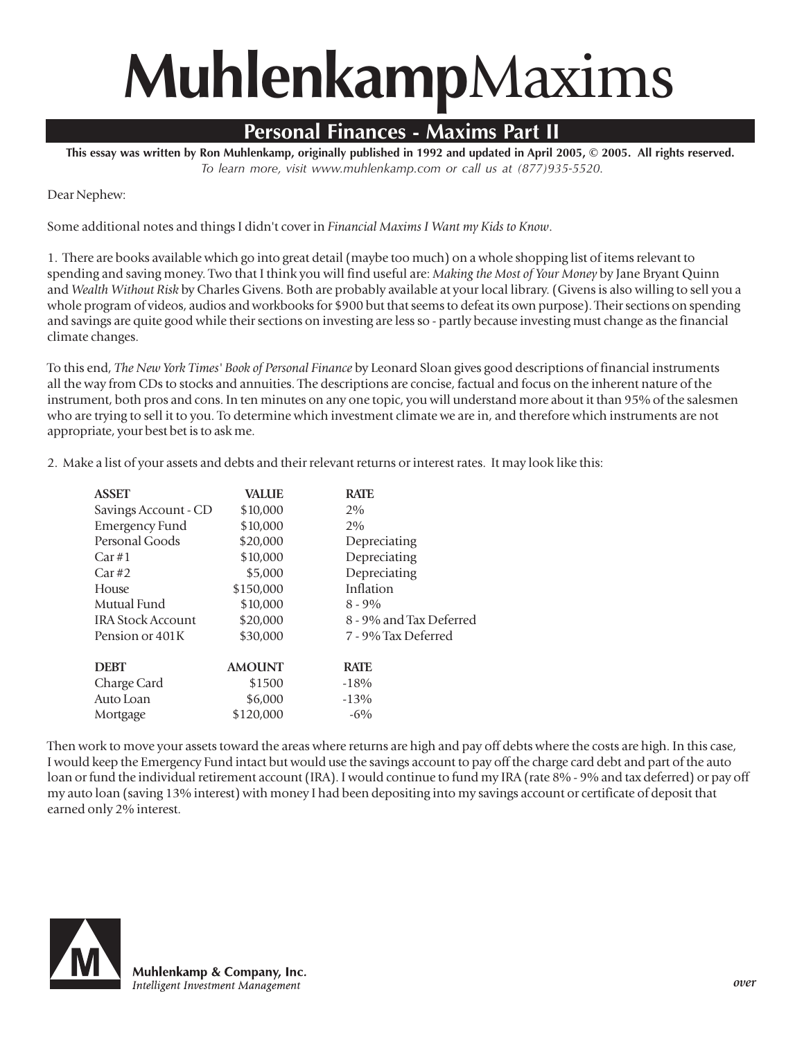## **Muhlenkamp**Maxims

## **Personal Finances - Maxims Part II**

**This essay was written by Ron Muhlenkamp, originally published in 1992 and updated in April 2005, © 2005. All rights reserved.** *To learn more, visit www.muhlenkamp.com or call us at (877)935-5520.*

Dear Nephew:

Some additional notes and things I didn't cover in *Financial Maxims I Want my Kids to Know*.

1. There are books available which go into great detail (maybe too much) on a whole shopping list of items relevant to spending and saving money. Two that I think you will find useful are: *Making the Most of Your Money* by Jane Bryant Quinn and *Wealth Without Risk* by Charles Givens. Both are probably available at your local library. (Givens is also willing to sell you a whole program of videos, audios and workbooks for \$900 but that seems to defeat its own purpose). Their sections on spending and savings are quite good while their sections on investing are less so - partly because investing must change as the financial climate changes.

To this end, *The New York Times' Book of Personal Finance* by Leonard Sloan gives good descriptions of financial instruments all the way from CDs to stocks and annuities. The descriptions are concise, factual and focus on the inherent nature of the instrument, both pros and cons. In ten minutes on any one topic, you will understand more about it than 95% of the salesmen who are trying to sell it to you. To determine which investment climate we are in, and therefore which instruments are not appropriate, your best bet is to ask me.

2. Make a list of your assets and debts and their relevant returns or interest rates. It may look like this:

| <b>VALUE</b> | <b>RATE</b>             |
|--------------|-------------------------|
| \$10,000     | 2%                      |
| \$10,000     | 2%                      |
| \$20,000     | Depreciating            |
| \$10,000     | Depreciating            |
| \$5,000      | Depreciating            |
| \$150,000    | Inflation               |
| \$10,000     | $8 - 9\%$               |
| \$20,000     | 8 - 9% and Tax Deferred |
| \$30,000     | 7 - 9% Tax Deferred     |
|              |                         |
|              | <b>RATE</b>             |
| \$1500       | $-18%$                  |
| \$6,000      | $-13%$                  |
| \$120,000    | $-6\%$                  |
|              | <b>AMOUNT</b>           |

Then work to move your assets toward the areas where returns are high and pay off debts where the costs are high. In this case, I would keep the Emergency Fund intact but would use the savings account to pay off the charge card debt and part of the auto loan or fund the individual retirement account (IRA). I would continue to fund my IRA (rate 8% - 9% and tax deferred) or pay off my auto loan (saving 13% interest) with money I had been depositing into my savings account or certificate of deposit that earned only 2% interest.